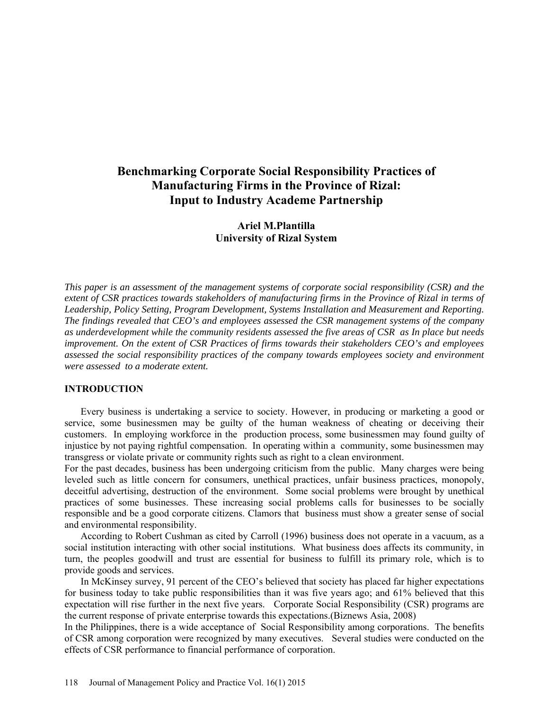# **Benchmarking Corporate Social Responsibility Practices of Manufacturing Firms in the Province of Rizal: Input to Industry Academe Partnership**

## **Ariel M.Plantilla University of Rizal System**

*This paper is an assessment of the management systems of corporate social responsibility (CSR) and the extent of CSR practices towards stakeholders of manufacturing firms in the Province of Rizal in terms of Leadership, Policy Setting, Program Development, Systems Installation and Measurement and Reporting. The findings revealed that CEO's and employees assessed the CSR management systems of the company as underdevelopment while the community residents assessed the five areas of CSR as In place but needs improvement. On the extent of CSR Practices of firms towards their stakeholders CEO's and employees assessed the social responsibility practices of the company towards employees society and environment were assessed to a moderate extent.* 

#### **INTRODUCTION**

Every business is undertaking a service to society. However, in producing or marketing a good or service, some businessmen may be guilty of the human weakness of cheating or deceiving their customers. In employing workforce in the production process, some businessmen may found guilty of injustice by not paying rightful compensation. In operating within a community, some businessmen may transgress or violate private or community rights such as right to a clean environment.

For the past decades, business has been undergoing criticism from the public. Many charges were being leveled such as little concern for consumers, unethical practices, unfair business practices, monopoly, deceitful advertising, destruction of the environment. Some social problems were brought by unethical practices of some businesses. These increasing social problems calls for businesses to be socially responsible and be a good corporate citizens. Clamors that business must show a greater sense of social and environmental responsibility.

According to Robert Cushman as cited by Carroll (1996) business does not operate in a vacuum, as a social institution interacting with other social institutions. What business does affects its community, in turn, the peoples goodwill and trust are essential for business to fulfill its primary role, which is to provide goods and services.

In McKinsey survey, 91 percent of the CEO's believed that society has placed far higher expectations for business today to take public responsibilities than it was five years ago; and 61% believed that this expectation will rise further in the next five years. Corporate Social Responsibility (CSR) programs are the current response of private enterprise towards this expectations.(Biznews Asia, 2008)

In the Philippines, there is a wide acceptance of Social Responsibility among corporations. The benefits of CSR among corporation were recognized by many executives. Several studies were conducted on the effects of CSR performance to financial performance of corporation.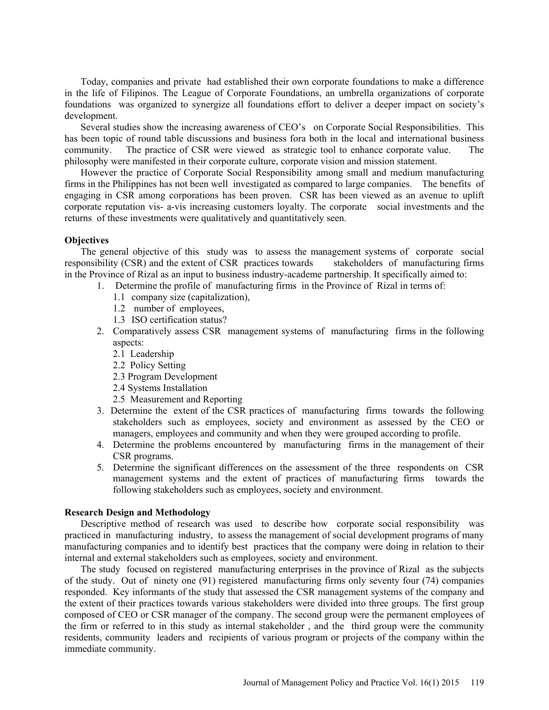Today, companies and private had established their own corporate foundations to make a difference in the life of Filipinos. The League of Corporate Foundations, an umbrella organizations of corporate foundations was organized to synergize all foundations effort to deliver a deeper impact on society's development.

Several studies show the increasing awareness of CEO's on Corporate Social Responsibilities. This has been topic of round table discussions and business fora both in the local and international business community. The practice of CSR were viewed as strategic tool to enhance corporate value. The philosophy were manifested in their corporate culture, corporate vision and mission statement.

However the practice of Corporate Social Responsibility among small and medium manufacturing firms in the Philippines has not been well investigated as compared to large companies. The benefits of engaging in CSR among corporations has been proven. CSR has been viewed as an avenue to uplift corporate reputation vis- a-vis increasing customers loyalty. The corporate social investments and the returns of these investments were qualitatively and quantitatively seen.

#### **Objectives**

The general objective of this study was to assess the management systems of corporate social responsibility (CSR) and the extent of CSR practices towards stakeholders of manufacturing firms in the Province of Rizal as an input to business industry-academe partnership. It specifically aimed to:

- 1. Determine the profile of manufacturing firms in the Province of Rizal in terms of:
	- 1.1 company size (capitalization),
	- 1.2 number of employees,
	- 1.3 ISO certification status?
- 2. Comparatively assess CSR management systems of manufacturing firms in the following aspects:
	- 2.1 Leadership
	- 2.2 Policy Setting
	- 2.3 Program Development
	- 2.4 Systems Installation
	- 2.5 Measurement and Reporting
- 3. Determine the extent of the CSR practices of manufacturing firms towards the following stakeholders such as employees, society and environment as assessed by the CEO or managers, employees and community and when they were grouped according to profile.
- 4. Determine the problems encountered by manufacturing firms in the management of their CSR programs.
- 5. Determine the significant differences on the assessment of the three respondents on CSR management systems and the extent of practices of manufacturing firms towards the following stakeholders such as employees, society and environment.

## **Research Design and Methodology**

Descriptive method of research was used to describe how corporate social responsibility was practiced in manufacturing industry, to assess the management of social development programs of many manufacturing companies and to identify best practices that the company were doing in relation to their internal and external stakeholders such as employees, society and environment.

The study focused on registered manufacturing enterprises in the province of Rizal as the subjects of the study. Out of ninety one (91) registered manufacturing firms only seventy four (74) companies responded. Key informants of the study that assessed the CSR management systems of the company and the extent of their practices towards various stakeholders were divided into three groups. The first group composed of CEO or CSR manager of the company. The second group were the permanent employees of the firm or referred to in this study as internal stakeholder , and the third group were the community residents, community leaders and recipients of various program or projects of the company within the immediate community.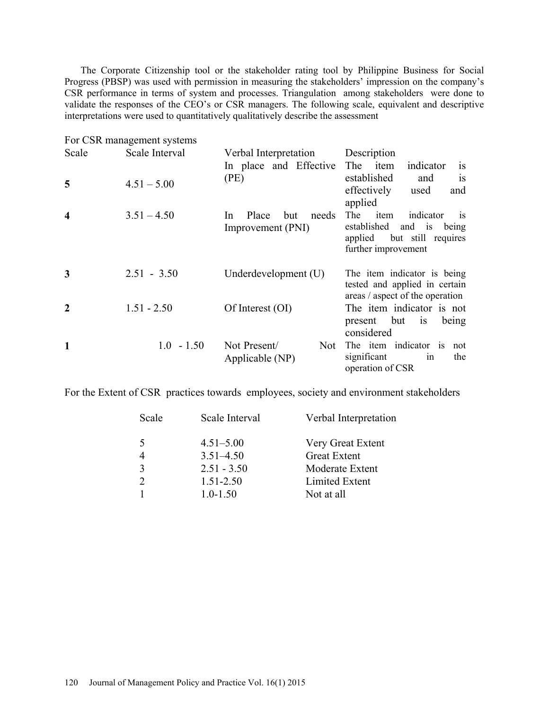The Corporate Citizenship tool or the stakeholder rating tool by Philippine Business for Social Progress (PBSP) was used with permission in measuring the stakeholders' impression on the company's CSR performance in terms of system and processes. Triangulation among stakeholders were done to validate the responses of the CEO's or CSR managers. The following scale, equivalent and descriptive interpretations were used to quantitatively qualitatively describe the assessment

|                         | For CSR management systems |                                                   |                                                                                                                                     |
|-------------------------|----------------------------|---------------------------------------------------|-------------------------------------------------------------------------------------------------------------------------------------|
| Scale                   | Scale Interval             | Verbal Interpretation                             | Description                                                                                                                         |
|                         |                            | In place and Effective                            | The item<br>indicator<br><b>1S</b>                                                                                                  |
| 5                       | $4.51 - 5.00$              | (PE)                                              | established<br>and<br><b>1S</b><br>effectively<br>used<br>and<br>applied                                                            |
| $\overline{\mathbf{4}}$ | $3.51 - 4.50$              | Place<br>but<br>needs<br>In.<br>Improvement (PNI) | indicator<br>The<br>item<br><sup>is</sup><br>established<br>and is<br>being<br>but still requires<br>applied<br>further improvement |
| 3                       | $2.51 - 3.50$              | Underdevelopment (U)                              | The item indicator is being<br>tested and applied in certain<br>areas / aspect of the operation                                     |
| $\boldsymbol{2}$        | $1.51 - 2.50$              | Of Interest (OI)                                  | The item indicator is not<br>present but<br>is<br>being<br>considered                                                               |
| 1                       | $1.0 - 1.50$               | Not Present/<br>Not \,<br>Applicable (NP)         | The item indicator is<br>not<br>significant<br>the<br>1n<br>operation of CSR                                                        |

For the Extent of CSR practices towards employees, society and environment stakeholders

| Verbal Interpretation |
|-----------------------|
| Very Great Extent     |
| <b>Great Extent</b>   |
| Moderate Extent       |
| Limited Extent        |
| Not at all            |
|                       |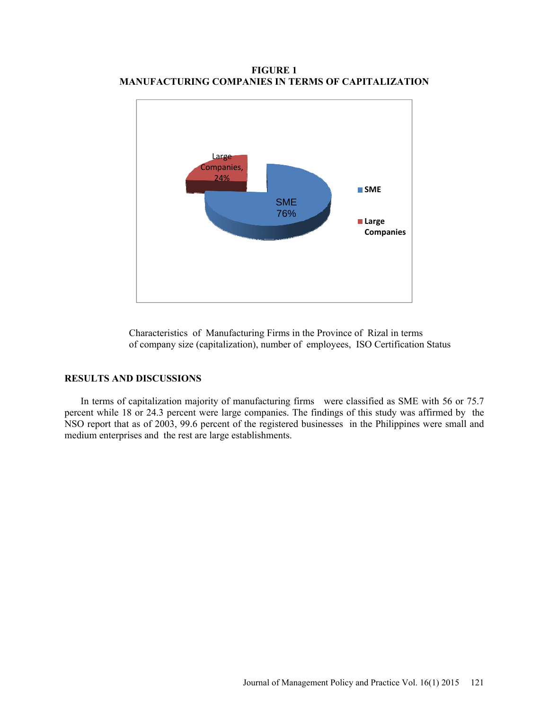**FIGURE 1 MANUFACTURING COMPANIES IN TERMS OF CAPITALIZATION** 



Characteristics of Manufacturing Firms in the Province of Rizal in terms of company size (capitalization), number of employees, ISO Certification Status

#### **RESULTS AND DISCUSSIONS**

In terms of capitalization majority of manufacturing firms were classified as SME with 56 or 75.7 percent while 18 or 24.3 percent were large companies. The findings of this study was affirmed by the NSO report that as of 2003, 99.6 percent of the registered businesses in the Philippines were small and medium enterprises and the rest are large establishments.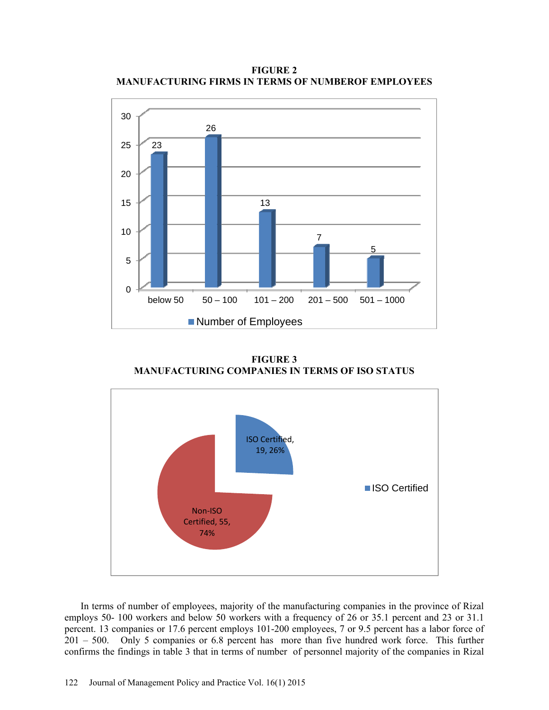**FIGURE 2 MANUFACTURING FIRMS IN TERMS OF NUMBEROF EMPLOYEES** 



**FIGURE 3 MANUFACTURING COMPANIES IN TERMS OF ISO STATUS** 



In terms of number of employees, majority of the manufacturing companies in the province of Rizal employs 50- 100 workers and below 50 workers with a frequency of 26 or 35.1 percent and 23 or 31.1 percent. 13 companies or 17.6 percent employs 101-200 employees, 7 or 9.5 percent has a labor force of 201 – 500. Only 5 companies or 6.8 percent has more than five hundred work force. This further confirms the findings in table 3 that in terms of number of personnel majority of the companies in Rizal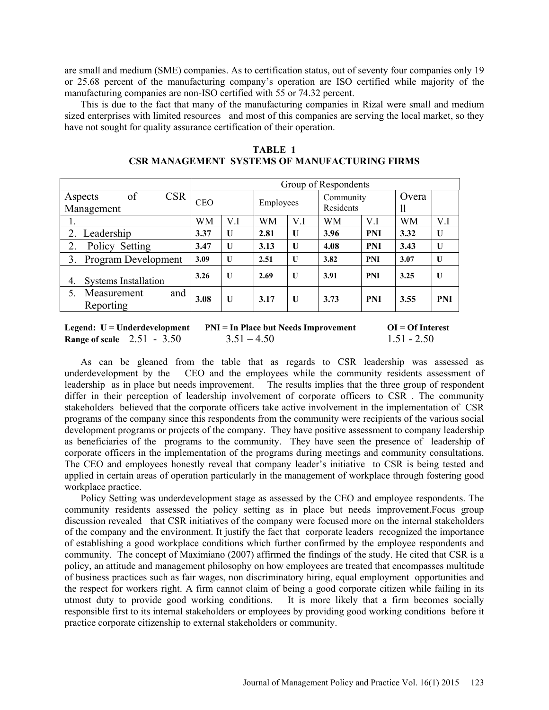are small and medium (SME) companies. As to certification status, out of seventy four companies only 19 or 25.68 percent of the manufacturing company's operation are ISO certified while majority of the manufacturing companies are non-ISO certified with 55 or 74.32 percent.

This is due to the fact that many of the manufacturing companies in Rizal were small and medium sized enterprises with limited resources and most of this companies are serving the local market, so they have not sought for quality assurance certification of their operation.

|                                           | Group of Respondents |              |      |                        |      |             |      |              |
|-------------------------------------------|----------------------|--------------|------|------------------------|------|-------------|------|--------------|
| of<br><b>CSR</b><br>Aspects<br>Management | CEO<br>Employees     |              |      | Community<br>Residents |      | Overa<br>11 |      |              |
|                                           | WМ                   | V.I          | WM   | V.I                    | WM   | V.I         | WМ   | V.I          |
| Leadership                                | 3.37                 | U            | 2.81 | $\mathbf{U}$           | 3.96 | <b>PNI</b>  | 3.32 | U            |
| Policy Setting<br>2.                      | 3.47                 | U            | 3.13 | $\mathbf{U}$           | 4.08 | <b>PNI</b>  | 3.43 | $\mathbf{U}$ |
| Program Development<br>3.                 | 3.09                 | $\mathbf{U}$ | 2.51 | $\mathbf{U}$           | 3.82 | <b>PNI</b>  | 3.07 | $\mathbf{U}$ |
| <b>Systems Installation</b><br>4.         | 3.26                 | $\mathbf{U}$ | 2.69 | $\mathbf{U}$           | 3.91 | <b>PNI</b>  | 3.25 | $\mathbf{U}$ |
| and<br>5.<br>Measurement<br>Reporting     | 3.08                 | U            | 3.17 | $\mathbf{U}$           | 3.73 | <b>PNI</b>  | 3.55 | <b>PNI</b>   |

**TABLE 1 CSR MANAGEMENT SYSTEMS OF MANUFACTURING FIRMS**

Legend: U = Underdevelopment PNI = In Place but Needs Improvement OI = Of Interest **Range of scale** 2.51 - 3.50 3.51 – 4.50 1.51 - 2.50

As can be gleaned from the table that as regards to CSR leadership was assessed as underdevelopment by the CEO and the employees while the community residents assessment of leadership as in place but needs improvement. The results implies that the three group of respondent differ in their perception of leadership involvement of corporate officers to CSR . The community stakeholders believed that the corporate officers take active involvement in the implementation of CSR programs of the company since this respondents from the community were recipients of the various social development programs or projects of the company. They have positive assessment to company leadership as beneficiaries of the programs to the community. They have seen the presence of leadership of corporate officers in the implementation of the programs during meetings and community consultations. The CEO and employees honestly reveal that company leader's initiative to CSR is being tested and applied in certain areas of operation particularly in the management of workplace through fostering good workplace practice.

Policy Setting was underdevelopment stage as assessed by the CEO and employee respondents. The community residents assessed the policy setting as in place but needs improvement.Focus group discussion revealed that CSR initiatives of the company were focused more on the internal stakeholders of the company and the environment. It justify the fact that corporate leaders recognized the importance of establishing a good workplace conditions which further confirmed by the employee respondents and community. The concept of Maximiano (2007) affirmed the findings of the study. He cited that CSR is a policy, an attitude and management philosophy on how employees are treated that encompasses multitude of business practices such as fair wages, non discriminatory hiring, equal employment opportunities and the respect for workers right. A firm cannot claim of being a good corporate citizen while failing in its utmost duty to provide good working conditions. It is more likely that a firm becomes socially responsible first to its internal stakeholders or employees by providing good working conditions before it practice corporate citizenship to external stakeholders or community.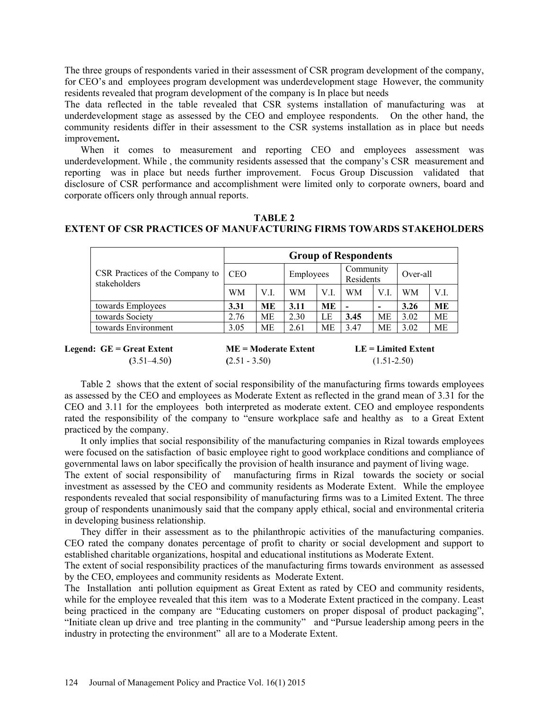The three groups of respondents varied in their assessment of CSR program development of the company, for CEO's and employees program development was underdevelopment stage However, the community residents revealed that program development of the company is In place but needs

The data reflected in the table revealed that CSR systems installation of manufacturing was at underdevelopment stage as assessed by the CEO and employee respondents. On the other hand, the community residents differ in their assessment to the CSR systems installation as in place but needs improvement**.**

When it comes to measurement and reporting CEO and employees assessment was underdevelopment. While , the community residents assessed that the company's CSR measurement and reporting was in place but needs further improvement. Focus Group Discussion validated that disclosure of CSR performance and accomplishment were limited only to corporate owners, board and corporate officers only through annual reports.

#### **TABLE 2 EXTENT OF CSR PRACTICES OF MANUFACTURING FIRMS TOWARDS STAKEHOLDERS**

|                                                 | <b>Group of Respondents</b> |      |           |           |                          |                          |          |           |  |  |
|-------------------------------------------------|-----------------------------|------|-----------|-----------|--------------------------|--------------------------|----------|-----------|--|--|
| CSR Practices of the Company to<br>stakeholders | <b>CEO</b>                  |      | Employees |           | Community<br>Residents   |                          | Over-all |           |  |  |
|                                                 | WM                          | V.I. | WМ        | V.L       | WМ                       | V.I.                     | WМ       | V.I.      |  |  |
| towards Employees                               | 3.31                        | MЕ   | 3.11      | <b>ME</b> | $\overline{\phantom{0}}$ | $\overline{\phantom{0}}$ | 3.26     | <b>ME</b> |  |  |
| towards Society                                 | 2.76                        | МE   | 2.30      | LE        | 3.45                     | МE                       | 3.02     | <b>ME</b> |  |  |
| towards Environment                             | 3.05                        | MЕ   | 2.61      | МE        | 3.47                     | МE                       | 3.02     | МE        |  |  |
|                                                 |                             |      |           |           |                          |                          |          |           |  |  |

| Legend: GE = Great Extent | $ME = Modern$   | $LE = Limited$ Extent |
|---------------------------|-----------------|-----------------------|
| $(3.51 - 4.50)$           | $(2.51 - 3.50)$ | $(1.51 - 2.50)$       |

Table 2 shows that the extent of social responsibility of the manufacturing firms towards employees as assessed by the CEO and employees as Moderate Extent as reflected in the grand mean of 3.31 for the CEO and 3.11 for the employees both interpreted as moderate extent. CEO and employee respondents rated the responsibility of the company to "ensure workplace safe and healthy as to a Great Extent practiced by the company.

It only implies that social responsibility of the manufacturing companies in Rizal towards employees were focused on the satisfaction of basic employee right to good workplace conditions and compliance of governmental laws on labor specifically the provision of health insurance and payment of living wage.

The extent of social responsibility of manufacturing firms in Rizal towards the society or social investment as assessed by the CEO and community residents as Moderate Extent. While the employee respondents revealed that social responsibility of manufacturing firms was to a Limited Extent. The three group of respondents unanimously said that the company apply ethical, social and environmental criteria in developing business relationship.

They differ in their assessment as to the philanthropic activities of the manufacturing companies. CEO rated the company donates percentage of profit to charity or social development and support to established charitable organizations, hospital and educational institutions as Moderate Extent.

The extent of social responsibility practices of the manufacturing firms towards environment as assessed by the CEO, employees and community residents as Moderate Extent.

The Installation anti pollution equipment as Great Extent as rated by CEO and community residents, while for the employee revealed that this item was to a Moderate Extent practiced in the company. Least being practiced in the company are "Educating customers on proper disposal of product packaging", "Initiate clean up drive and tree planting in the community" and "Pursue leadership among peers in the industry in protecting the environment" all are to a Moderate Extent.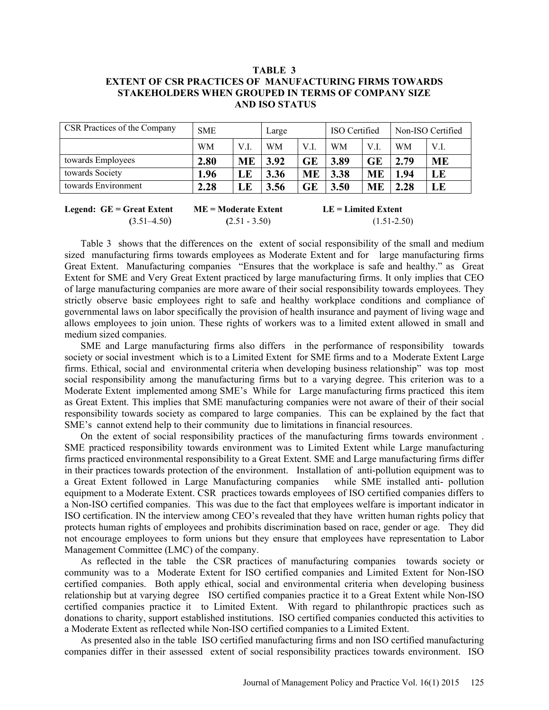## **TABLE 3 EXTENT OF CSR PRACTICES OF MANUFACTURING FIRMS TOWARDS STAKEHOLDERS WHEN GROUPED IN TERMS OF COMPANY SIZE AND ISO STATUS**

| CSR Practices of the Company | <b>SME</b> |           | Large     |           | ISO Certified |           | Non-ISO Certified |           |
|------------------------------|------------|-----------|-----------|-----------|---------------|-----------|-------------------|-----------|
|                              | <b>WM</b>  | V.I.      | <b>WM</b> | V.I.      | <b>WM</b>     | V.I.      | <b>WM</b>         | V.L       |
| towards Employees            | 2.80       | <b>ME</b> | 3.92      | GE        | 3.89          | GE        | 2.79              | <b>ME</b> |
| towards Society              | 1.96       | LE        | 3.36      | <b>ME</b> | 3.38          | <b>ME</b> | 1.94              | LE        |
| towards Environment          | 2.28       | LE        | 3.56      | GE        | 3.50          | <b>ME</b> | 2.28              | LE        |
|                              |            |           |           |           |               |           |                   |           |

**Legend: GE = Great Extent ME = Moderate Extent LE = Limited Extent (**3.51–4.50) **(**2.51 - 3.50) (1.51-2.50)

Table 3 shows that the differences on the extent of social responsibility of the small and medium sized manufacturing firms towards employees as Moderate Extent and for large manufacturing firms Great Extent. Manufacturing companies "Ensures that the workplace is safe and healthy." as Great Extent for SME and Very Great Extent practiced by large manufacturing firms. It only implies that CEO of large manufacturing companies are more aware of their social responsibility towards employees. They strictly observe basic employees right to safe and healthy workplace conditions and compliance of governmental laws on labor specifically the provision of health insurance and payment of living wage and allows employees to join union. These rights of workers was to a limited extent allowed in small and medium sized companies.

SME and Large manufacturing firms also differs in the performance of responsibility towards society or social investment which is to a Limited Extent for SME firms and to a Moderate Extent Large firms. Ethical, social and environmental criteria when developing business relationship" was top most social responsibility among the manufacturing firms but to a varying degree. This criterion was to a Moderate Extent implemented among SME's While for Large manufacturing firms practiced this item as Great Extent. This implies that SME manufacturing companies were not aware of their of their social responsibility towards society as compared to large companies. This can be explained by the fact that SME's cannot extend help to their community due to limitations in financial resources.

On the extent of social responsibility practices of the manufacturing firms towards environment . SME practiced responsibility towards environment was to Limited Extent while Large manufacturing firms practiced environmental responsibility to a Great Extent. SME and Large manufacturing firms differ in their practices towards protection of the environment. Installation of anti-pollution equipment was to a Great Extent followed in Large Manufacturing companies while SME installed anti- pollution equipment to a Moderate Extent. CSR practices towards employees of ISO certified companies differs to a Non-ISO certified companies. This was due to the fact that employees welfare is important indicator in ISO certification. IN the interview among CEO's revealed that they have written human rights policy that protects human rights of employees and prohibits discrimination based on race, gender or age. They did not encourage employees to form unions but they ensure that employees have representation to Labor Management Committee (LMC) of the company.

As reflected in the table the CSR practices of manufacturing companies towards society or community was to a Moderate Extent for ISO certified companies and Limited Extent for Non-ISO certified companies. Both apply ethical, social and environmental criteria when developing business relationship but at varying degree ISO certified companies practice it to a Great Extent while Non-ISO certified companies practice it to Limited Extent. With regard to philanthropic practices such as donations to charity, support established institutions. ISO certified companies conducted this activities to a Moderate Extent as reflected while Non-ISO certified companies to a Limited Extent.

As presented also in the table ISO certified manufacturing firms and non ISO certified manufacturing companies differ in their assessed extent of social responsibility practices towards environment. ISO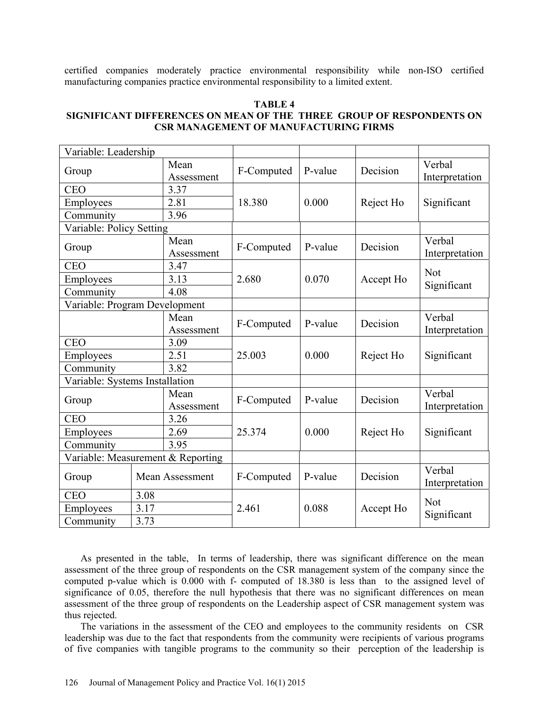certified companies moderately practice environmental responsibility while non-ISO certified manufacturing companies practice environmental responsibility to a limited extent.

#### **TABLE 4 SIGNIFICANT DIFFERENCES ON MEAN OF THE THREE GROUP OF RESPONDENTS ON CSR MANAGEMENT OF MANUFACTURING FIRMS**

| Variable: Leadership              |                        |                    |            |         |           |                          |  |
|-----------------------------------|------------------------|--------------------|------------|---------|-----------|--------------------------|--|
| Group                             |                        | Mean<br>Assessment | F-Computed | P-value | Decision  | Verbal<br>Interpretation |  |
| <b>CEO</b>                        |                        | 3.37               |            |         |           | Significant              |  |
| Employees                         |                        | 2.81               | 18.380     | 0.000   | Reject Ho |                          |  |
| Community                         |                        | 3.96               |            |         |           |                          |  |
| Variable: Policy Setting          |                        |                    |            |         |           |                          |  |
| Group                             |                        | Mean<br>Assessment | F-Computed | P-value | Decision  | Verbal<br>Interpretation |  |
| <b>CEO</b>                        |                        | 3.47               |            |         |           | <b>Not</b>               |  |
| Employees                         |                        | 3.13               | 2.680      | 0.070   | Accept Ho | Significant              |  |
| Community                         |                        | 4.08               |            |         |           |                          |  |
| Variable: Program Development     |                        |                    |            |         |           |                          |  |
|                                   |                        | Mean               | F-Computed | P-value | Decision  | Verbal                   |  |
|                                   |                        | Assessment         |            |         |           | Interpretation           |  |
| <b>CEO</b>                        |                        | 3.09               |            | 0.000   |           | Significant              |  |
| Employees                         |                        | 2.51               | 25.003     |         | Reject Ho |                          |  |
| Community                         |                        | 3.82               |            |         |           |                          |  |
| Variable: Systems Installation    |                        |                    |            |         |           |                          |  |
| Group                             |                        | Mean<br>Assessment | F-Computed | P-value | Decision  | Verbal<br>Interpretation |  |
| <b>CEO</b>                        |                        | 3.26               |            |         |           |                          |  |
| Employees                         |                        | 2.69               | 25.374     | 0.000   | Reject Ho | Significant              |  |
| Community                         |                        | 3.95               |            |         |           |                          |  |
| Variable: Measurement & Reporting |                        |                    |            |         |           |                          |  |
| Group                             | <b>Mean Assessment</b> |                    | F-Computed | P-value | Decision  | Verbal<br>Interpretation |  |
| <b>CEO</b>                        | 3.08                   |                    |            |         |           | <b>Not</b>               |  |
| Employees                         | 3.17                   |                    | 2.461      | 0.088   | Accept Ho | Significant              |  |
| 3.73<br>Community                 |                        |                    |            |         |           |                          |  |

As presented in the table, In terms of leadership, there was significant difference on the mean assessment of the three group of respondents on the CSR management system of the company since the computed p-value which is 0.000 with f- computed of 18.380 is less than to the assigned level of significance of 0.05, therefore the null hypothesis that there was no significant differences on mean assessment of the three group of respondents on the Leadership aspect of CSR management system was thus rejected.

The variations in the assessment of the CEO and employees to the community residents on CSR leadership was due to the fact that respondents from the community were recipients of various programs of five companies with tangible programs to the community so their perception of the leadership is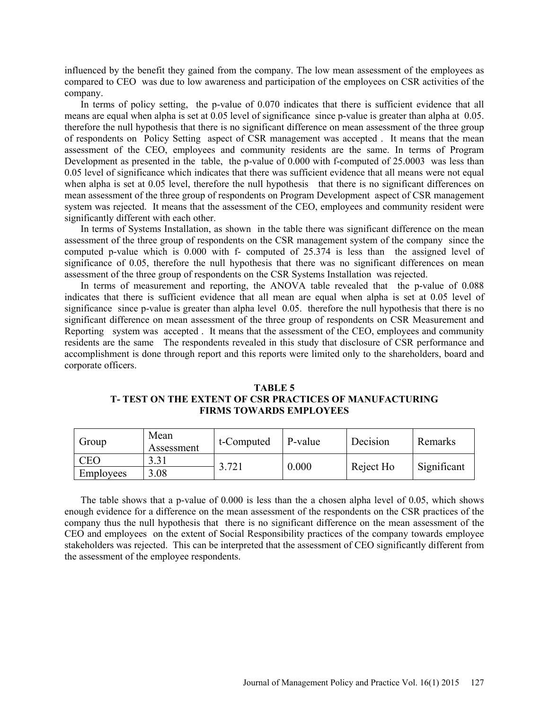influenced by the benefit they gained from the company. The low mean assessment of the employees as compared to CEO was due to low awareness and participation of the employees on CSR activities of the company.

In terms of policy setting, the p-value of 0.070 indicates that there is sufficient evidence that all means are equal when alpha is set at 0.05 level of significance since p-value is greater than alpha at 0.05. therefore the null hypothesis that there is no significant difference on mean assessment of the three group of respondents on Policy Setting aspect of CSR management was accepted . It means that the mean assessment of the CEO, employees and community residents are the same. In terms of Program Development as presented in the table, the p-value of 0.000 with f-computed of 25.0003 was less than 0.05 level of significance which indicates that there was sufficient evidence that all means were not equal when alpha is set at 0.05 level, therefore the null hypothesis that there is no significant differences on mean assessment of the three group of respondents on Program Development aspect of CSR management system was rejected. It means that the assessment of the CEO, employees and community resident were significantly different with each other.

In terms of Systems Installation, as shown in the table there was significant difference on the mean assessment of the three group of respondents on the CSR management system of the company since the computed p-value which is 0.000 with f- computed of 25.374 is less than the assigned level of significance of 0.05, therefore the null hypothesis that there was no significant differences on mean assessment of the three group of respondents on the CSR Systems Installation was rejected.

In terms of measurement and reporting, the ANOVA table revealed that the p-value of 0.088 indicates that there is sufficient evidence that all mean are equal when alpha is set at 0.05 level of significance since p-value is greater than alpha level 0.05. therefore the null hypothesis that there is no significant difference on mean assessment of the three group of respondents on CSR Measurement and Reporting system was accepted . It means that the assessment of the CEO, employees and community residents are the same The respondents revealed in this study that disclosure of CSR performance and accomplishment is done through report and this reports were limited only to the shareholders, board and corporate officers.

#### **TABLE 5 T- TEST ON THE EXTENT OF CSR PRACTICES OF MANUFACTURING FIRMS TOWARDS EMPLOYEES**

| Group      | Mean<br>Assessment | t-Computed | P-value | Decision  | Remarks     |  |
|------------|--------------------|------------|---------|-----------|-------------|--|
| <b>CEO</b> |                    | 3.721      | 0.000   |           | Significant |  |
| Employees  | 8.08               |            |         | Reject Ho |             |  |

The table shows that a p-value of 0.000 is less than the a chosen alpha level of 0.05, which shows enough evidence for a difference on the mean assessment of the respondents on the CSR practices of the company thus the null hypothesis that there is no significant difference on the mean assessment of the CEO and employees on the extent of Social Responsibility practices of the company towards employee stakeholders was rejected. This can be interpreted that the assessment of CEO significantly different from the assessment of the employee respondents.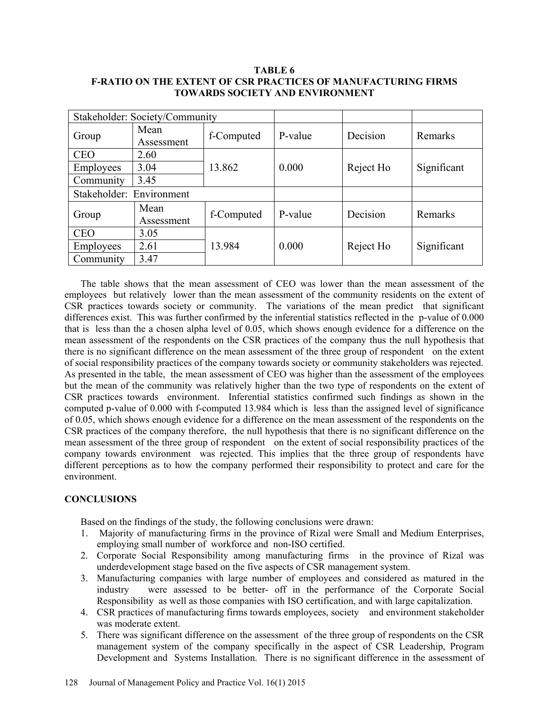#### **TABLE 6 F-RATIO ON THE EXTENT OF CSR PRACTICES OF MANUFACTURING FIRMS TOWARDS SOCIETY AND ENVIRONMENT**

| Stakeholder: Society/Community |                    |            |         |           |             |  |
|--------------------------------|--------------------|------------|---------|-----------|-------------|--|
| Group                          | Mean<br>Assessment | f-Computed | P-value | Decision  | Remarks     |  |
| <b>CEO</b>                     | 2.60               |            |         | Reject Ho |             |  |
| Employees                      | 3.04               | 13.862     | 0.000   |           | Significant |  |
| Community                      | 3.45               |            |         |           |             |  |
| Stakeholder: Environment       |                    |            |         |           |             |  |
| Group                          | Mean<br>Assessment | f-Computed | P-value | Decision  | Remarks     |  |
| <b>CEO</b>                     | 3.05               |            |         |           |             |  |
| Employees                      | 2.61               | 13.984     | 0.000   | Reject Ho | Significant |  |
| Community                      | 3.47               |            |         |           |             |  |

The table shows that the mean assessment of CEO was lower than the mean assessment of the employees but relatively lower than the mean assessment of the community residents on the extent of CSR practices towards society or community. The variations of the mean predict that significant differences exist. This was further confirmed by the inferential statistics reflected in the p-value of 0.000 that is less than the a chosen alpha level of 0.05, which shows enough evidence for a difference on the mean assessment of the respondents on the CSR practices of the company thus the null hypothesis that there is no significant difference on the mean assessment of the three group of respondent on the extent of social responsibility practices of the company towards society or community stakeholders was rejected. As presented in the table, the mean assessment of CEO was higher than the assessment of the employees but the mean of the community was relatively higher than the two type of respondents on the extent of CSR practices towards environment. Inferential statistics confirmed such findings as shown in the computed p-value of 0.000 with f-computed 13.984 which is less than the assigned level of significance of 0.05, which shows enough evidence for a difference on the mean assessment of the respondents on the CSR practices of the company therefore, the null hypothesis that there is no significant difference on the mean assessment of the three group of respondent on the extent of social responsibility practices of the company towards environment was rejected. This implies that the three group of respondents have different perceptions as to how the company performed their responsibility to protect and care for the environment.

## **CONCLUSIONS**

Based on the findings of the study, the following conclusions were drawn:

- 1. Majority of manufacturing firms in the province of Rizal were Small and Medium Enterprises, employing small number of workforce and non-ISO certified.
- 2. Corporate Social Responsibility among manufacturing firms in the province of Rizal was underdevelopment stage based on the five aspects of CSR management system.
- 3. Manufacturing companies with large number of employees and considered as matured in the industry were assessed to be better- off in the performance of the Corporate Social Responsibility as well as those companies with ISO certification, and with large capitalization.
- 4. CSR practices of manufacturing firms towards employees, society and environment stakeholder was moderate extent.
- 5. There was significant difference on the assessment of the three group of respondents on the CSR management system of the company specifically in the aspect of CSR Leadership, Program Development and Systems Installation. There is no significant difference in the assessment of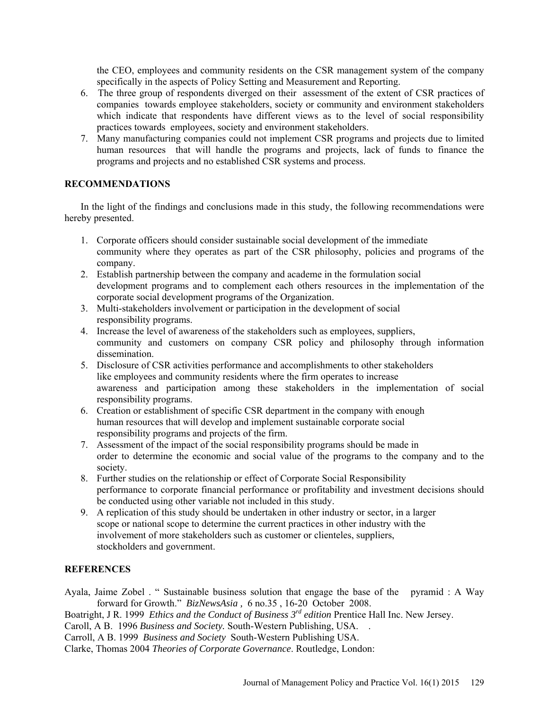the CEO, employees and community residents on the CSR management system of the company specifically in the aspects of Policy Setting and Measurement and Reporting.

- 6. The three group of respondents diverged on their assessment of the extent of CSR practices of companies towards employee stakeholders, society or community and environment stakeholders which indicate that respondents have different views as to the level of social responsibility practices towards employees, society and environment stakeholders.
- 7. Many manufacturing companies could not implement CSR programs and projects due to limited human resources that will handle the programs and projects, lack of funds to finance the programs and projects and no established CSR systems and process.

## **RECOMMENDATIONS**

In the light of the findings and conclusions made in this study, the following recommendations were hereby presented.

- 1. Corporate officers should consider sustainable social development of the immediate community where they operates as part of the CSR philosophy, policies and programs of the company.
- 2. Establish partnership between the company and academe in the formulation social development programs and to complement each others resources in the implementation of the corporate social development programs of the Organization.
- 3. Multi-stakeholders involvement or participation in the development of social responsibility programs.
- 4. Increase the level of awareness of the stakeholders such as employees, suppliers, community and customers on company CSR policy and philosophy through information dissemination.
- 5. Disclosure of CSR activities performance and accomplishments to other stakeholders like employees and community residents where the firm operates to increase awareness and participation among these stakeholders in the implementation of social responsibility programs.
- 6. Creation or establishment of specific CSR department in the company with enough human resources that will develop and implement sustainable corporate social responsibility programs and projects of the firm.
- 7. Assessment of the impact of the social responsibility programs should be made in order to determine the economic and social value of the programs to the company and to the society.
- 8. Further studies on the relationship or effect of Corporate Social Responsibility performance to corporate financial performance or profitability and investment decisions should be conducted using other variable not included in this study.
- 9. A replication of this study should be undertaken in other industry or sector, in a larger scope or national scope to determine the current practices in other industry with the involvement of more stakeholders such as customer or clienteles, suppliers, stockholders and government.

## **REFERENCES**

Ayala, Jaime Zobel . " Sustainable business solution that engage the base of the pyramid : A Way forward for Growth." *BizNewsAsia ,* 6 no.35 , 16-20 October 2008.

Boatright, J R. 1999 *Ethics and the Conduct of Business 3rd edition* Prentice Hall Inc. New Jersey.

Caroll, A B. 1996 *Business and Society.* South-Western Publishing, USA. .

Carroll, A B. 1999 *Business and Society* South-Western Publishing USA.

Clarke, Thomas 2004 *Theories of Corporate Governance*. Routledge, London: